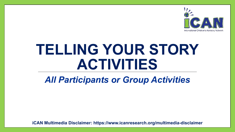

# **TELLING YOUR STORY ACTIVITIES**

### *All Participants or Group Activities*

**iCAN Multimedia Disclaimer: https://www.icanresearch.org/multimedia-disclaimer**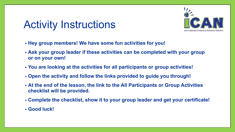## Activity Instructions



- **• Hey group members! We have some fun activities for you!**
- **• Ask your group leader if these activities can be completed with your group or on your own!**
- **• You are looking at the activities for all participants or group activities!**
- **• Open the activity and follow the links provided to guide you through!**
- **• At the end of the lesson, the link to the All Participants or Group Activities checklist will be provided.**
- **• Complete the checklist, show it to your group leader and get your certificate!**
- **• Good luck!**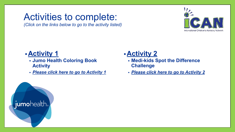### <span id="page-2-0"></span>Activities to complete:

*(Click on the links below to go to the activity listed)*



#### **•Activity 1**

- **• Jumo Health Coloring Book Activity**
- *• [Please click here to go to Activity](#page-5-0) 1*

#### **•Activity 2**

- **• Medi-kids Spot the Difference Challenge**
- *• [Please click here to go to Activity](#page-6-0) 2*

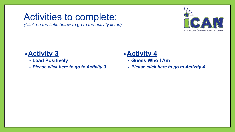### <span id="page-3-0"></span>Activities to complete:

*(Click on the links below to go to the activity listed)*



#### **•Activity 3**

- **• Lead Positively**
- *• [Please click here to go to Activity](#page-7-0) 3*

### **•Activity 4**

- **• Guess Who I Am**
- *• [Please click here to go to Activity](#page-8-0) 4*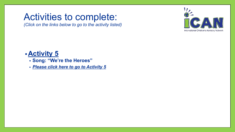### <span id="page-4-0"></span>Activities to complete:

*(Click on the links below to go to the activity listed)*



#### **•Activity 5**

- **• Song: "We're the Heroes"**
- *• [Please click here to go to Activity](#page-9-0) 5*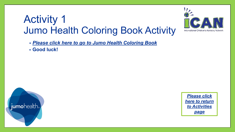### <span id="page-5-0"></span>Activity 1 Jumo Health Coloring Book Activity



*• [Please click here to go to Jumo Health Coloring Book](https://www.icanresearch.org/_files/ugd/df726f_35617d8416a34d8185924ef1db4e34c3.pdf)*

**• Good luck!** 



*[Please click](#page-2-0) [here to return](#page-2-0) [to Activities](#page-2-0) [page](#page-2-0)*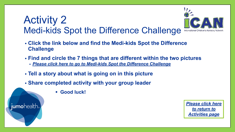### <span id="page-6-0"></span>Activity 2 Medi-kids Spot the Difference Challenge



- **• Click the link below and find the Medi-kids Spot the Difference Challenge**
- **• Find and circle the 7 things that are different within the two pictures**
	- *• [Please click here to go to Medi-kids Spot the Difference Challenge](https://www.icanresearch.org/_files/ugd/df726f_35617d8416a34d8185924ef1db4e34c3.pdf)*
- **• Tell a story about what is going on in this picture**
- **• Share completed activity with your group leader**
	- **• Good luck!**

jumohealth.

*[Please click here](#page-3-0) [to return to](#page-3-0) [Activities page](#page-3-0)*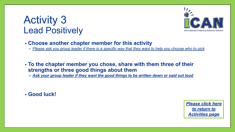### <span id="page-7-0"></span>Activity 3 Lead Positively



- **• Choose another chapter member for this activity**
	- *• Please ask you group leader if there is a specific way that they want to help you choose who to pick*
- **• To the chapter member you chose, share with them three of their strengths or three good things about them**
	- *• Ask your group leader if they want the good things to be written down or said out loud*

**• Good luck!**

*[Please click here](#page-3-0) [to return to](#page-3-0) [Activities page](#page-3-0)*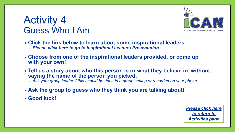### <span id="page-8-0"></span>Activity 4 Guess Who I Am



- **• Click the link below to learn about some inspirational leaders**
	- *• [Please click here to go to Inspirational Leaders](https://www.icanresearch.org/_files/ugd/df726f_d7dce899c1294967aeef777a69191da8.pdf) Presentation*
- **• Choose from one of the inspirational leaders provided, or come up with your own!**
- **• Tell us a story about who this person is or what they believe in, without saying the name of the person you picked.**
	- *• Ask your group leader if this should be done in a group setting or recorded on your phone*
- **• Ask the group to guess who they think you are talking about!**
- **• Good luck!**

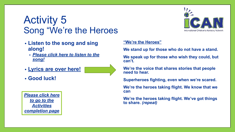### <span id="page-9-0"></span>Activity 5 Song "We're the Heroes

- **• Listen to the song and sing along!**
	- *• [Please click here to listen to the](https://9b004d02-a9e0-44e6-a351-f67319b88db6.filesusr.com/ugd/df726f_b3ed2940209749f3b5c0fdaa1f569df1.pptx?dn=We%20are%20the%20Heroes%20Song%20%26%20Lyrics%20(2-15-22).pptx) [song!](https://9b004d02-a9e0-44e6-a351-f67319b88db6.filesusr.com/ugd/df726f_b3ed2940209749f3b5c0fdaa1f569df1.pptx?dn=We%20are%20the%20Heroes%20Song%20%26%20Lyrics%20(2-15-22).pptx)*
- **• Lyrics are over here!**
- **• Good luck!**

*[Please click here](#page-10-0) [to go to the](#page-10-0) [Activities](#page-10-0) [completion page](#page-10-0)*



#### **"We're the Heroes"**

**We stand up for those who do not have a stand.**

**We speak up for those who wish they could, but can't.**

**We're the voice that shares stories that people need to hear.**

**Superheroes fighting, even when we're scared.**

**We're the heroes taking flight. We know that we can**

**We're the heroes taking flight. We've got things to share.** *(repeat)*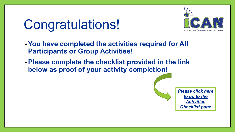# <span id="page-10-0"></span>Congratulations!



- **•You have completed the activities required for All Participants or Group Activities!**
- **•Please complete the checklist provided in the link below as proof of your activity completion!**

*[Please click here](#page-11-0) [to go to the](#page-11-0) [Activities](#page-11-0) [Checklist page](#page-11-0)*